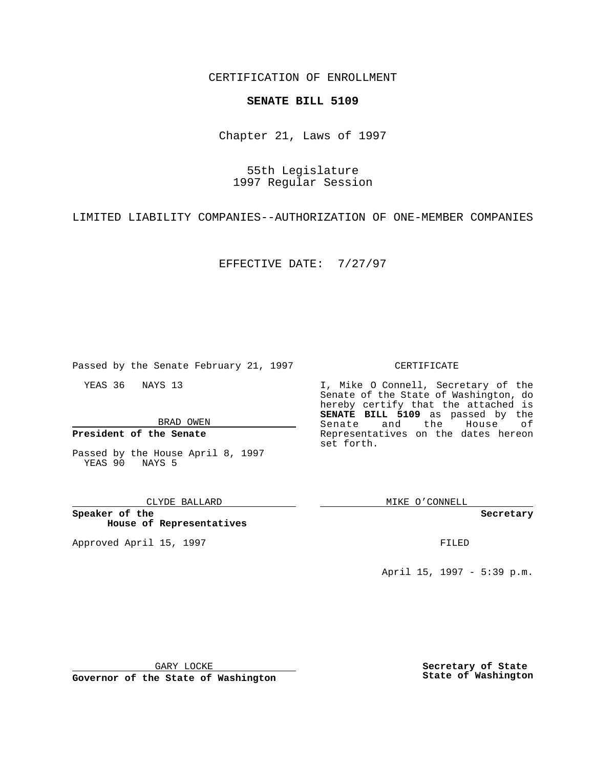CERTIFICATION OF ENROLLMENT

## **SENATE BILL 5109**

Chapter 21, Laws of 1997

55th Legislature 1997 Regular Session

LIMITED LIABILITY COMPANIES--AUTHORIZATION OF ONE-MEMBER COMPANIES

EFFECTIVE DATE: 7/27/97

Passed by the Senate February 21, 1997

YEAS 36 NAYS 13

BRAD OWEN

**President of the Senate**

Passed by the House April 8, 1997 YEAS 90 NAYS 5

CLYDE BALLARD

**Speaker of the House of Representatives**

Approved April 15, 1997 **FILED** 

## CERTIFICATE

I, Mike O Connell, Secretary of the Senate of the State of Washington, do hereby certify that the attached is **SENATE BILL 5109** as passed by the Senate and the House of Representatives on the dates hereon set forth.

MIKE O'CONNELL

## **Secretary**

April 15, 1997 - 5:39 p.m.

GARY LOCKE

**Governor of the State of Washington**

**Secretary of State State of Washington**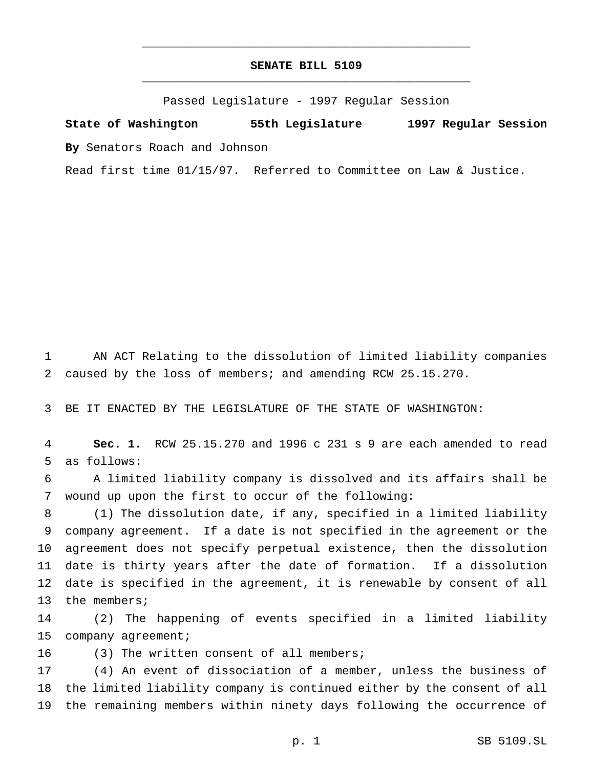## **SENATE BILL 5109** \_\_\_\_\_\_\_\_\_\_\_\_\_\_\_\_\_\_\_\_\_\_\_\_\_\_\_\_\_\_\_\_\_\_\_\_\_\_\_\_\_\_\_\_\_\_\_

\_\_\_\_\_\_\_\_\_\_\_\_\_\_\_\_\_\_\_\_\_\_\_\_\_\_\_\_\_\_\_\_\_\_\_\_\_\_\_\_\_\_\_\_\_\_\_

Passed Legislature - 1997 Regular Session

**State of Washington 55th Legislature 1997 Regular Session By** Senators Roach and Johnson

Read first time 01/15/97. Referred to Committee on Law & Justice.

 AN ACT Relating to the dissolution of limited liability companies caused by the loss of members; and amending RCW 25.15.270.

BE IT ENACTED BY THE LEGISLATURE OF THE STATE OF WASHINGTON:

 **Sec. 1.** RCW 25.15.270 and 1996 c 231 s 9 are each amended to read as follows:

 A limited liability company is dissolved and its affairs shall be wound up upon the first to occur of the following:

 (1) The dissolution date, if any, specified in a limited liability company agreement. If a date is not specified in the agreement or the agreement does not specify perpetual existence, then the dissolution date is thirty years after the date of formation. If a dissolution date is specified in the agreement, it is renewable by consent of all 13 the members;

 (2) The happening of events specified in a limited liability 15 company agreement;

(3) The written consent of all members;

 (4) An event of dissociation of a member, unless the business of the limited liability company is continued either by the consent of all the remaining members within ninety days following the occurrence of